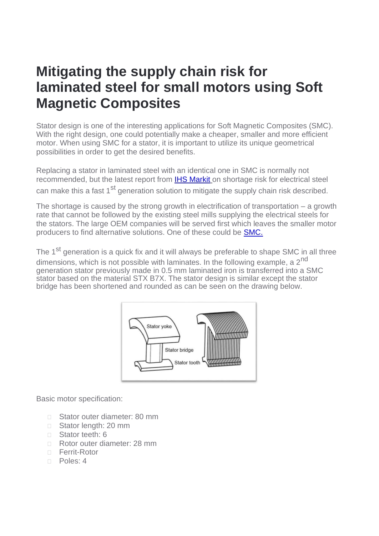#### **Mitigating the supply chain risk for laminated steel for small motors using Soft Magnetic Composites**

Stator design is one of the interesting applications for Soft Magnetic Composites (SMC). With the right design, one could potentially make a cheaper, smaller and more efficient motor. When using SMC for a stator, it is important to utilize its unique geometrical possibilities in order to get the desired benefits.

Replacing a stator in laminated steel with an identical one in SMC is normally not recommended, but the latest report from [IHS Markit](https://ihsmarkit.com/research-analysis/electrical-steel-another-temporary-supply-chain-shortage.html?hsid=be0ebe65-3385-48e3-a574-3521ccea5cf9) on shortage risk for electrical steel can make this a fast 1<sup>st</sup> generation solution to mitigate the supply chain risk described.

The shortage is caused by the strong growth in electrification of transportation – a growth rate that cannot be followed by the existing steel mills supplying the electrical steels for the stators. The large OEM companies will be served first which leaves the smaller motor producers to find alternative solutions. One of these could be [SMC.](https://sintex.com/en/soft-magnetic-solutions/electrical-motors/)

The 1<sup>st</sup> generation is a quick fix and it will always be preferable to shape SMC in all three dimensions, which is not possible with laminates. In the following example, a  $2<sup>nd</sup>$ generation stator previously made in 0.5 mm laminated iron is transferred into a SMC stator based on the material STX B7X. The stator design is similar except the stator bridge has been shortened and rounded as can be seen on the drawing below.



Basic motor specification:

- □ Stator outer diameter: 80 mm
- □ Stator length: 20 mm
- □ Stator teeth: 6
- Rotor outer diameter: 28 mm
- □ Ferrit-Rotor
- n Poles: 4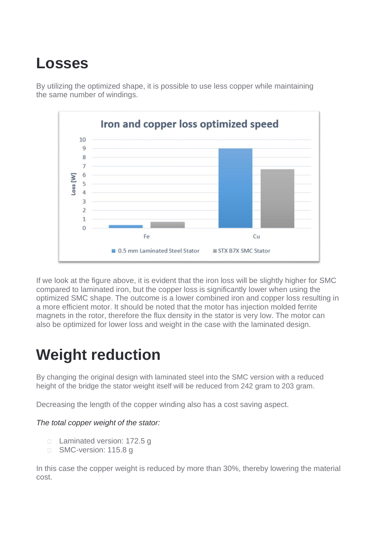## **Losses**

By utilizing the optimized shape, it is possible to use less copper while maintaining the same number of windings.



If we look at the figure above, it is evident that the iron loss will be slightly higher for SMC compared to laminated iron, but the copper loss is significantly lower when using the optimized SMC shape. The outcome is a lower combined iron and copper loss resulting in a more efficient motor. It should be noted that the motor has injection molded ferrite magnets in the rotor, therefore the flux density in the stator is very low. The motor can also be optimized for lower loss and weight in the case with the laminated design.

### **Weight reduction**

By changing the original design with laminated steel into the SMC version with a reduced height of the bridge the stator weight itself will be reduced from 242 gram to 203 gram.

Decreasing the length of the copper winding also has a cost saving aspect.

#### *The total copper weight of the stator:*

- □ Laminated version: 172.5 g
- □ SMC-version: 115.8 g

In this case the copper weight is reduced by more than 30%, thereby lowering the material cost.